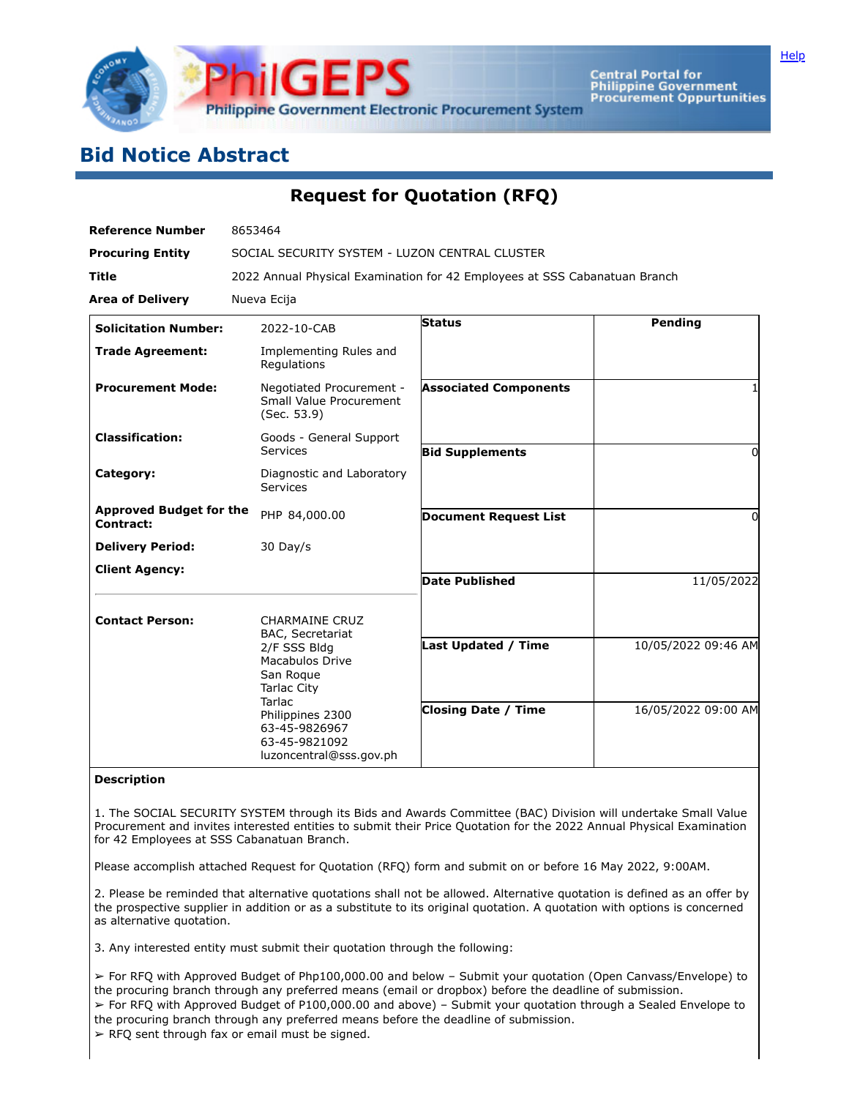

Central Portal for<br>Philippine Government<br>Procurement Oppurtunities

## **Bid Notice Abstract**

**Request for Quotation (RFQ)**

| <b>Reference Number</b>                     | 8653464                                                                                                                                                                                                                  |                              |                     |
|---------------------------------------------|--------------------------------------------------------------------------------------------------------------------------------------------------------------------------------------------------------------------------|------------------------------|---------------------|
| <b>Procuring Entity</b>                     | SOCIAL SECURITY SYSTEM - LUZON CENTRAL CLUSTER                                                                                                                                                                           |                              |                     |
| <b>Title</b>                                | 2022 Annual Physical Examination for 42 Employees at SSS Cabanatuan Branch                                                                                                                                               |                              |                     |
| <b>Area of Delivery</b>                     | Nueva Ecija                                                                                                                                                                                                              |                              |                     |
| <b>Solicitation Number:</b>                 | 2022-10-CAB                                                                                                                                                                                                              | Status                       | Pending             |
| <b>Trade Agreement:</b>                     | Implementing Rules and<br>Regulations                                                                                                                                                                                    |                              |                     |
| <b>Procurement Mode:</b>                    | Negotiated Procurement -<br>Small Value Procurement<br>(Sec. 53.9)                                                                                                                                                       | <b>Associated Components</b> |                     |
| <b>Classification:</b>                      | Goods - General Support<br>Services                                                                                                                                                                                      | <b>Bid Supplements</b>       | 0                   |
| Category:                                   | Diagnostic and Laboratory<br>Services                                                                                                                                                                                    |                              |                     |
| <b>Approved Budget for the</b><br>Contract: | PHP 84,000.00                                                                                                                                                                                                            | <b>Document Request List</b> | 0                   |
| <b>Delivery Period:</b>                     | 30 Day/s                                                                                                                                                                                                                 |                              |                     |
| <b>Client Agency:</b>                       |                                                                                                                                                                                                                          | <b>Date Published</b>        | 11/05/2022          |
| <b>Contact Person:</b>                      | <b>CHARMAINE CRUZ</b><br><b>BAC, Secretariat</b><br>2/F SSS Bldg<br><b>Macabulos Drive</b><br>San Roque<br><b>Tarlac City</b><br>Tarlac<br>Philippines 2300<br>63-45-9826967<br>63-45-9821092<br>luzoncentral@sss.gov.ph |                              |                     |
|                                             |                                                                                                                                                                                                                          | <b>Last Updated / Time</b>   | 10/05/2022 09:46 AM |
|                                             |                                                                                                                                                                                                                          | <b>Closing Date / Time</b>   | 16/05/2022 09:00 AM |

## **Description**

1. The SOCIAL SECURITY SYSTEM through its Bids and Awards Committee (BAC) Division will undertake Small Value Procurement and invites interested entities to submit their Price Quotation for the 2022 Annual Physical Examination for 42 Employees at SSS Cabanatuan Branch.

Please accomplish attached Request for Quotation (RFQ) form and submit on or before 16 May 2022, 9:00AM.

2. Please be reminded that alternative quotations shall not be allowed. Alternative quotation is defined as an offer by the prospective supplier in addition or as a substitute to its original quotation. A quotation with options is concerned as alternative quotation.

3. Any interested entity must submit their quotation through the following:

➢ For RFQ with Approved Budget of Php100,000.00 and below – Submit your quotation (Open Canvass/Envelope) to the procuring branch through any preferred means (email or dropbox) before the deadline of submission. ➢ For RFQ with Approved Budget of P100,000.00 and above) – Submit your quotation through a Sealed Envelope to the procuring branch through any preferred means before the deadline of submission.